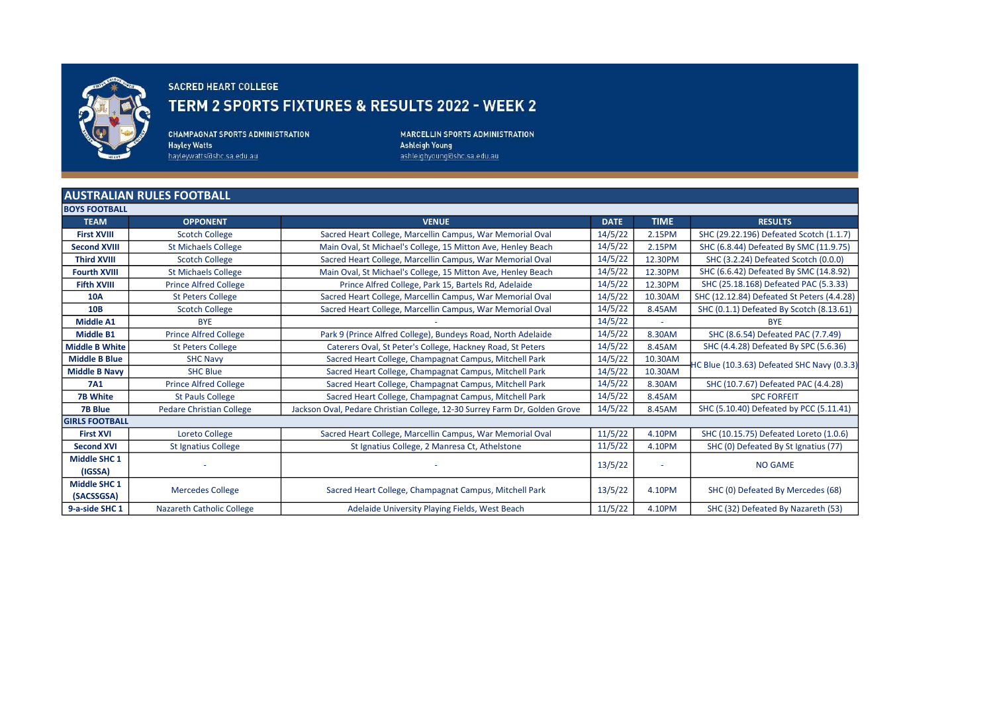

## SACRED HEART COLLEGE TERM 2 SPORTS FIXTURES & RESULTS 2022 - WEEK 2

**CHAMPAGNAT SPORTS ADMINISTRATION Hayley Watts** hayleywatts@shc.sa.edu.au

**MARCELLIN SPORTS ADMINISTRATION Ashleigh Young** ashleighyoung@shc.sa.edu.au

## AUSTRALIAN RULES FOOTBALL

| <b>BOYS FOOTBALL</b>  |                                  |                                                                            |             |             |                                             |
|-----------------------|----------------------------------|----------------------------------------------------------------------------|-------------|-------------|---------------------------------------------|
| <b>TEAM</b>           | <b>OPPONENT</b>                  | <b>VENUE</b>                                                               | <b>DATE</b> | <b>TIME</b> | <b>RESULTS</b>                              |
| <b>First XVIII</b>    | <b>Scotch College</b>            | Sacred Heart College, Marcellin Campus, War Memorial Oval                  | 14/5/22     | 2.15PM      | SHC (29.22.196) Defeated Scotch (1.1.7)     |
| <b>Second XVIII</b>   | <b>St Michaels College</b>       | Main Oval, St Michael's College, 15 Mitton Ave, Henley Beach               | 14/5/22     | 2.15PM      | SHC (6.8.44) Defeated By SMC (11.9.75)      |
| <b>Third XVIII</b>    | <b>Scotch College</b>            | Sacred Heart College, Marcellin Campus, War Memorial Oval                  | 14/5/22     | 12.30PM     | SHC (3.2.24) Defeated Scotch (0.0.0)        |
| <b>Fourth XVIII</b>   | <b>St Michaels College</b>       | Main Oval, St Michael's College, 15 Mitton Ave, Henley Beach               | 14/5/22     | 12.30PM     | SHC (6.6.42) Defeated By SMC (14.8.92)      |
| <b>Fifth XVIII</b>    | <b>Prince Alfred College</b>     | Prince Alfred College, Park 15, Bartels Rd, Adelaide                       | 14/5/22     | 12.30PM     | SHC (25.18.168) Defeated PAC (5.3.33)       |
| <b>10A</b>            | <b>St Peters College</b>         | Sacred Heart College, Marcellin Campus, War Memorial Oval                  | 14/5/22     | 10.30AM     | SHC (12.12.84) Defeated St Peters (4.4.28)  |
| <b>10B</b>            | <b>Scotch College</b>            | Sacred Heart College, Marcellin Campus, War Memorial Oval                  | 14/5/22     | 8.45AM      | SHC (0.1.1) Defeated By Scotch (8.13.61)    |
| <b>Middle A1</b>      | <b>BYE</b>                       |                                                                            | 14/5/22     |             | <b>BYE</b>                                  |
| <b>Middle B1</b>      | <b>Prince Alfred College</b>     | Park 9 (Prince Alfred College), Bundeys Road, North Adelaide               | 14/5/22     | 8.30AM      | SHC (8.6.54) Defeated PAC (7.7.49)          |
| <b>Middle B White</b> | <b>St Peters College</b>         | Caterers Oval, St Peter's College, Hackney Road, St Peters                 | 14/5/22     | 8.45AM      | SHC (4.4.28) Defeated By SPC (5.6.36)       |
| <b>Middle B Blue</b>  | <b>SHC Navy</b>                  | Sacred Heart College, Champagnat Campus, Mitchell Park                     | 14/5/22     | 10.30AM     | HC Blue (10.3.63) Defeated SHC Navy (0.3.3) |
| <b>Middle B Navy</b>  | <b>SHC Blue</b>                  | Sacred Heart College, Champagnat Campus, Mitchell Park                     | 14/5/22     | 10.30AM     |                                             |
| <b>7A1</b>            | <b>Prince Alfred College</b>     | Sacred Heart College, Champagnat Campus, Mitchell Park                     | 14/5/22     | 8.30AM      | SHC (10.7.67) Defeated PAC (4.4.28)         |
| <b>7B White</b>       | <b>St Pauls College</b>          | Sacred Heart College, Champagnat Campus, Mitchell Park                     | 14/5/22     | 8.45AM      | <b>SPC FORFEIT</b>                          |
| <b>7B Blue</b>        | <b>Pedare Christian College</b>  | Jackson Oval, Pedare Christian College, 12-30 Surrey Farm Dr, Golden Grove | 14/5/22     | 8.45AM      | SHC (5.10.40) Defeated by PCC (5.11.41)     |
| <b>GIRLS FOOTBALL</b> |                                  |                                                                            |             |             |                                             |
| <b>First XVI</b>      | Loreto College                   | Sacred Heart College, Marcellin Campus, War Memorial Oval                  | 11/5/22     | 4.10PM      | SHC (10.15.75) Defeated Loreto (1.0.6)      |
| <b>Second XVI</b>     | St Ignatius College              | St Ignatius College, 2 Manresa Ct, Athelstone                              | 11/5/22     | 4.10PM      | SHC (0) Defeated By St Ignatius (77)        |
| <b>Middle SHC 1</b>   |                                  |                                                                            | 13/5/22     |             | <b>NO GAME</b>                              |
| (IGSSA)               |                                  |                                                                            |             |             |                                             |
| <b>Middle SHC 1</b>   | <b>Mercedes College</b>          | Sacred Heart College, Champagnat Campus, Mitchell Park                     | 13/5/22     | 4.10PM      | SHC (0) Defeated By Mercedes (68)           |
| (SACSSGSA)            |                                  |                                                                            |             |             |                                             |
| 9-a-side SHC 1        | <b>Nazareth Catholic College</b> | Adelaide University Playing Fields, West Beach                             | 11/5/22     | 4.10PM      | SHC (32) Defeated By Nazareth (53)          |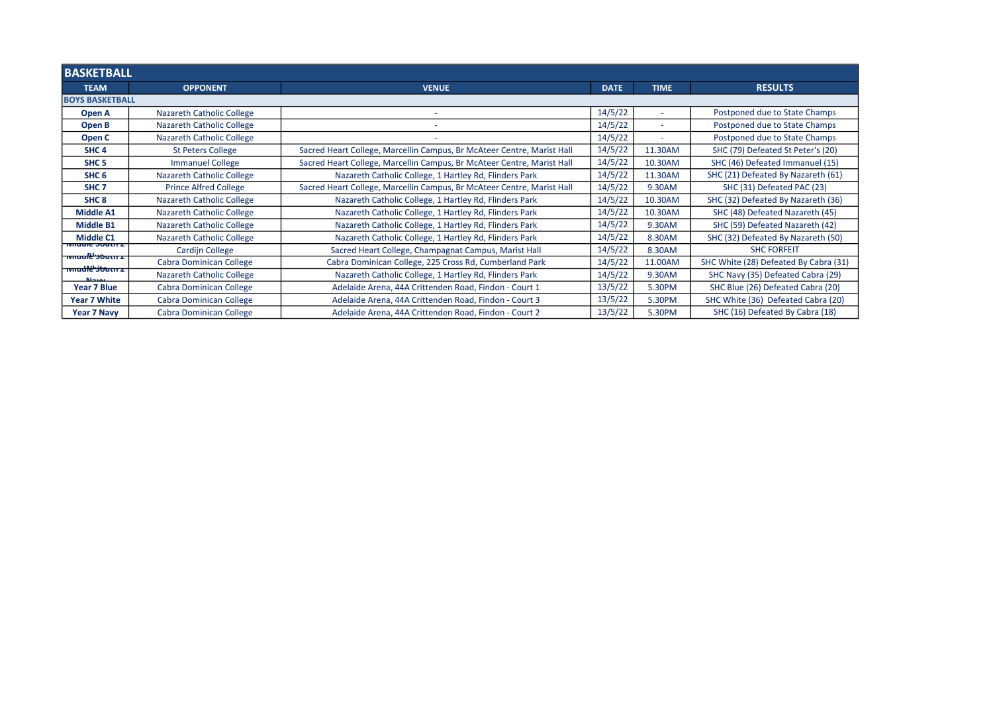| <b>BASKETBALL</b>                                       |                                  |                                                                        |             |                          |                                       |  |  |  |  |
|---------------------------------------------------------|----------------------------------|------------------------------------------------------------------------|-------------|--------------------------|---------------------------------------|--|--|--|--|
| <b>TEAM</b>                                             | <b>OPPONENT</b>                  | <b>VENUE</b>                                                           | <b>DATE</b> | <b>TIME</b>              | <b>RESULTS</b>                        |  |  |  |  |
|                                                         | <b>BOYS BASKETBALL</b>           |                                                                        |             |                          |                                       |  |  |  |  |
| Open A                                                  | Nazareth Catholic College        |                                                                        | 14/5/22     | ٠                        | Postponed due to State Champs         |  |  |  |  |
| Open B                                                  | Nazareth Catholic College        |                                                                        | 14/5/22     | $\overline{\phantom{a}}$ | Postponed due to State Champs         |  |  |  |  |
| Open C                                                  | Nazareth Catholic College        |                                                                        | 14/5/22     |                          | Postponed due to State Champs         |  |  |  |  |
| SHC <sub>4</sub>                                        | <b>St Peters College</b>         | Sacred Heart College, Marcellin Campus, Br McAteer Centre, Marist Hall | 14/5/22     | 11.30AM                  | SHC (79) Defeated St Peter's (20)     |  |  |  |  |
| SHC <sub>5</sub>                                        | <b>Immanuel College</b>          | Sacred Heart College, Marcellin Campus, Br McAteer Centre, Marist Hall | 14/5/22     | 10.30AM                  | SHC (46) Defeated Immanuel (15)       |  |  |  |  |
| SHC <sub>6</sub>                                        | Nazareth Catholic College        | Nazareth Catholic College, 1 Hartley Rd, Flinders Park                 | 14/5/22     | 11.30AM                  | SHC (21) Defeated By Nazareth (61)    |  |  |  |  |
| SHC <sub>7</sub>                                        | <b>Prince Alfred College</b>     | Sacred Heart College, Marcellin Campus, Br McAteer Centre, Marist Hall | 14/5/22     | 9.30AM                   | SHC (31) Defeated PAC (23)            |  |  |  |  |
| SHC <sub>8</sub>                                        | Nazareth Catholic College        | Nazareth Catholic College, 1 Hartley Rd, Flinders Park                 | 14/5/22     | 10.30AM                  | SHC (32) Defeated By Nazareth (36)    |  |  |  |  |
| <b>Middle A1</b>                                        | <b>Nazareth Catholic College</b> | Nazareth Catholic College, 1 Hartley Rd, Flinders Park                 | 14/5/22     | 10.30AM                  | SHC (48) Defeated Nazareth (45)       |  |  |  |  |
| <b>Middle B1</b>                                        | <b>Nazareth Catholic College</b> | Nazareth Catholic College, 1 Hartley Rd, Flinders Park                 | 14/5/22     | 9.30AM                   | SHC (59) Defeated Nazareth (42)       |  |  |  |  |
| <b>Middle C1</b>                                        | <b>Nazareth Catholic College</b> | Nazareth Catholic College, 1 Hartley Rd, Flinders Park                 | 14/5/22     | 8.30AM                   | SHC (32) Defeated By Nazareth (50)    |  |  |  |  |
| <b>TWINDIE SOUTH Z</b><br><del>nviluale soutin zh</del> | Cardijn College                  | Sacred Heart College, Champagnat Campus, Marist Hall                   | 14/5/22     | 8.30AM                   | <b>SHC FORFEIT</b>                    |  |  |  |  |
| <b>TWINGHE'Struck</b>                                   | Cabra Dominican College          | Cabra Dominican College, 225 Cross Rd, Cumberland Park                 | 14/5/22     | 11.00AM                  | SHC White (28) Defeated By Cabra (31) |  |  |  |  |
|                                                         | <b>Nazareth Catholic College</b> | Nazareth Catholic College, 1 Hartley Rd, Flinders Park                 | 14/5/22     | 9.30AM                   | SHC Navy (35) Defeated Cabra (29)     |  |  |  |  |
| Year 7 Blue                                             | Cabra Dominican College          | Adelaide Arena, 44A Crittenden Road, Findon - Court 1                  | 13/5/22     | 5.30PM                   | SHC Blue (26) Defeated Cabra (20)     |  |  |  |  |
| <b>Year 7 White</b>                                     | Cabra Dominican College          | Adelaide Arena, 44A Crittenden Road, Findon - Court 3                  | 13/5/22     | 5.30PM                   | SHC White (36) Defeated Cabra (20)    |  |  |  |  |
| <b>Year 7 Navy</b>                                      | Cabra Dominican College          | Adelaide Arena, 44A Crittenden Road, Findon - Court 2                  | 13/5/22     | 5.30PM                   | SHC (16) Defeated By Cabra (18)       |  |  |  |  |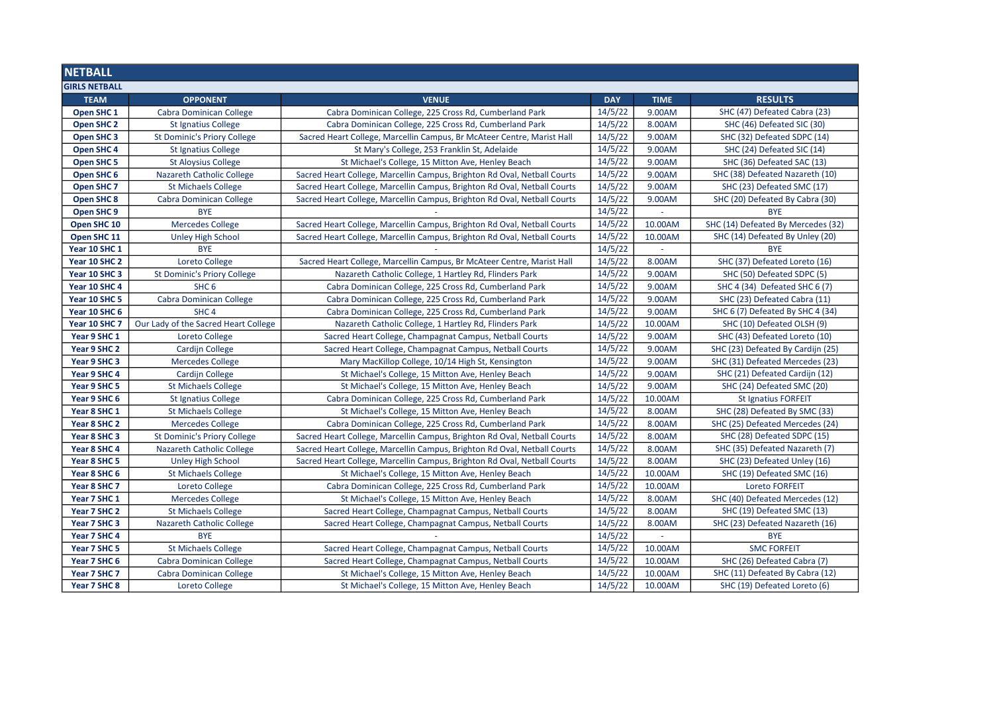| <b>NETBALL</b>        |                                      |                                                                          |            |             |                                    |
|-----------------------|--------------------------------------|--------------------------------------------------------------------------|------------|-------------|------------------------------------|
| <b>GIRLS NETBALL</b>  |                                      |                                                                          |            |             |                                    |
| <b>TEAM</b>           | <b>OPPONENT</b>                      | <b>VENUE</b>                                                             | <b>DAY</b> | <b>TIME</b> | <b>RESULTS</b>                     |
| Open SHC <sub>1</sub> | Cabra Dominican College              | Cabra Dominican College, 225 Cross Rd, Cumberland Park                   | 14/5/22    | 9.00AM      | SHC (47) Defeated Cabra (23)       |
| Open SHC 2            | <b>St Ignatius College</b>           | Cabra Dominican College, 225 Cross Rd, Cumberland Park                   | 14/5/22    | 8.00AM      | SHC (46) Defeated SIC (30)         |
| Open SHC <sub>3</sub> | <b>St Dominic's Priory College</b>   | Sacred Heart College, Marcellin Campus, Br McAteer Centre, Marist Hall   | 14/5/22    | 9.00AM      | SHC (32) Defeated SDPC (14)        |
| Open SHC 4            | St Ignatius College                  | St Mary's College, 253 Franklin St, Adelaide                             | 14/5/22    | 9.00AM      | SHC (24) Defeated SIC (14)         |
| Open SHC 5            | <b>St Aloysius College</b>           | St Michael's College, 15 Mitton Ave, Henley Beach                        | 14/5/22    | 9.00AM      | SHC (36) Defeated SAC (13)         |
| Open SHC 6            | Nazareth Catholic College            | Sacred Heart College, Marcellin Campus, Brighton Rd Oval, Netball Courts | 14/5/22    | 9.00AM      | SHC (38) Defeated Nazareth (10)    |
| Open SHC <sub>7</sub> | <b>St Michaels College</b>           | Sacred Heart College, Marcellin Campus, Brighton Rd Oval, Netball Courts | 14/5/22    | 9.00AM      | SHC (23) Defeated SMC (17)         |
| Open SHC 8            | <b>Cabra Dominican College</b>       | Sacred Heart College, Marcellin Campus, Brighton Rd Oval, Netball Courts | 14/5/22    | 9.00AM      | SHC (20) Defeated By Cabra (30)    |
| Open SHC 9            | <b>BYE</b>                           |                                                                          | 14/5/22    |             | <b>BYE</b>                         |
| Open SHC 10           | <b>Mercedes College</b>              | Sacred Heart College, Marcellin Campus, Brighton Rd Oval, Netball Courts | 14/5/22    | 10.00AM     | SHC (14) Defeated By Mercedes (32) |
| Open SHC 11           | <b>Unley High School</b>             | Sacred Heart College, Marcellin Campus, Brighton Rd Oval, Netball Courts | 14/5/22    | 10.00AM     | SHC (14) Defeated By Unley (20)    |
| Year 10 SHC 1         | <b>BYE</b>                           |                                                                          | 14/5/22    |             | <b>BYE</b>                         |
| Year 10 SHC 2         | Loreto College                       | Sacred Heart College, Marcellin Campus, Br McAteer Centre, Marist Hall   | 14/5/22    | 8.00AM      | SHC (37) Defeated Loreto (16)      |
| Year 10 SHC 3         | <b>St Dominic's Priory College</b>   | Nazareth Catholic College, 1 Hartley Rd, Flinders Park                   | 14/5/22    | 9.00AM      | SHC (50) Defeated SDPC (5)         |
| Year 10 SHC 4         | SHC <sub>6</sub>                     | Cabra Dominican College, 225 Cross Rd, Cumberland Park                   | 14/5/22    | 9.00AM      | SHC 4 (34) Defeated SHC 6 (7)      |
| Year 10 SHC 5         | Cabra Dominican College              | Cabra Dominican College, 225 Cross Rd, Cumberland Park                   | 14/5/22    | 9.00AM      | SHC (23) Defeated Cabra (11)       |
| Year 10 SHC 6         | SHC <sub>4</sub>                     | Cabra Dominican College, 225 Cross Rd, Cumberland Park                   | 14/5/22    | 9.00AM      | SHC 6 (7) Defeated By SHC 4 (34)   |
| Year 10 SHC 7         | Our Lady of the Sacred Heart College | Nazareth Catholic College, 1 Hartley Rd, Flinders Park                   | 14/5/22    | 10.00AM     | SHC (10) Defeated OLSH (9)         |
| Year 9 SHC 1          | Loreto College                       | Sacred Heart College, Champagnat Campus, Netball Courts                  | 14/5/22    | 9.00AM      | SHC (43) Defeated Loreto (10)      |
| Year 9 SHC 2          | Cardijn College                      | Sacred Heart College, Champagnat Campus, Netball Courts                  | 14/5/22    | 9.00AM      | SHC (23) Defeated By Cardijn (25)  |
| Year 9 SHC 3          | <b>Mercedes College</b>              | Mary MacKillop College, 10/14 High St, Kensington                        | 14/5/22    | 9.00AM      | SHC (31) Defeated Mercedes (23)    |
| Year 9 SHC 4          | Cardijn College                      | St Michael's College, 15 Mitton Ave, Henley Beach                        | 14/5/22    | 9.00AM      | SHC (21) Defeated Cardijn (12)     |
| Year 9 SHC 5          | <b>St Michaels College</b>           | St Michael's College, 15 Mitton Ave, Henley Beach                        | 14/5/22    | 9.00AM      | SHC (24) Defeated SMC (20)         |
| Year 9 SHC 6          | <b>St Ignatius College</b>           | Cabra Dominican College, 225 Cross Rd, Cumberland Park                   | 14/5/22    | 10.00AM     | <b>St Ignatius FORFEIT</b>         |
| Year 8 SHC 1          | <b>St Michaels College</b>           | St Michael's College, 15 Mitton Ave, Henley Beach                        | 14/5/22    | 8.00AM      | SHC (28) Defeated By SMC (33)      |
| Year 8 SHC 2          | <b>Mercedes College</b>              | Cabra Dominican College, 225 Cross Rd, Cumberland Park                   | 14/5/22    | 8.00AM      | SHC (25) Defeated Mercedes (24)    |
| Year 8 SHC 3          | <b>St Dominic's Priory College</b>   | Sacred Heart College, Marcellin Campus, Brighton Rd Oval, Netball Courts | 14/5/22    | 8.00AM      | SHC (28) Defeated SDPC (15)        |
| Year 8 SHC 4          | Nazareth Catholic College            | Sacred Heart College, Marcellin Campus, Brighton Rd Oval, Netball Courts | 14/5/22    | 8.00AM      | SHC (35) Defeated Nazareth (7)     |
| Year 8 SHC 5          | <b>Unley High School</b>             | Sacred Heart College, Marcellin Campus, Brighton Rd Oval, Netball Courts | 14/5/22    | 8.00AM      | SHC (23) Defeated Unley (16)       |
| Year 8 SHC 6          | <b>St Michaels College</b>           | St Michael's College, 15 Mitton Ave, Henley Beach                        | 14/5/22    | 10.00AM     | SHC (19) Defeated SMC (16)         |
| Year 8 SHC 7          | Loreto College                       | Cabra Dominican College, 225 Cross Rd, Cumberland Park                   | 14/5/22    | 10.00AM     | Loreto FORFEIT                     |
| Year 7 SHC 1          | <b>Mercedes College</b>              | St Michael's College, 15 Mitton Ave, Henley Beach                        | 14/5/22    | 8.00AM      | SHC (40) Defeated Mercedes (12)    |
| Year 7 SHC 2          | <b>St Michaels College</b>           | Sacred Heart College, Champagnat Campus, Netball Courts                  | 14/5/22    | 8.00AM      | SHC (19) Defeated SMC (13)         |
| Year 7 SHC 3          | <b>Nazareth Catholic College</b>     | Sacred Heart College, Champagnat Campus, Netball Courts                  | 14/5/22    | 8.00AM      | SHC (23) Defeated Nazareth (16)    |
| Year 7 SHC 4          | <b>BYE</b>                           |                                                                          | 14/5/22    |             | <b>BYE</b>                         |
| Year 7 SHC 5          | <b>St Michaels College</b>           | Sacred Heart College, Champagnat Campus, Netball Courts                  | 14/5/22    | 10.00AM     | <b>SMC FORFEIT</b>                 |
| Year 7 SHC 6          | <b>Cabra Dominican College</b>       | Sacred Heart College, Champagnat Campus, Netball Courts                  | 14/5/22    | 10.00AM     | SHC (26) Defeated Cabra (7)        |
| Year 7 SHC 7          | Cabra Dominican College              | St Michael's College, 15 Mitton Ave, Henley Beach                        | 14/5/22    | 10.00AM     | SHC (11) Defeated By Cabra (12)    |
| Year 7 SHC 8          | Loreto College                       | St Michael's College, 15 Mitton Ave, Henley Beach                        | 14/5/22    | 10.00AM     | SHC (19) Defeated Loreto (6)       |